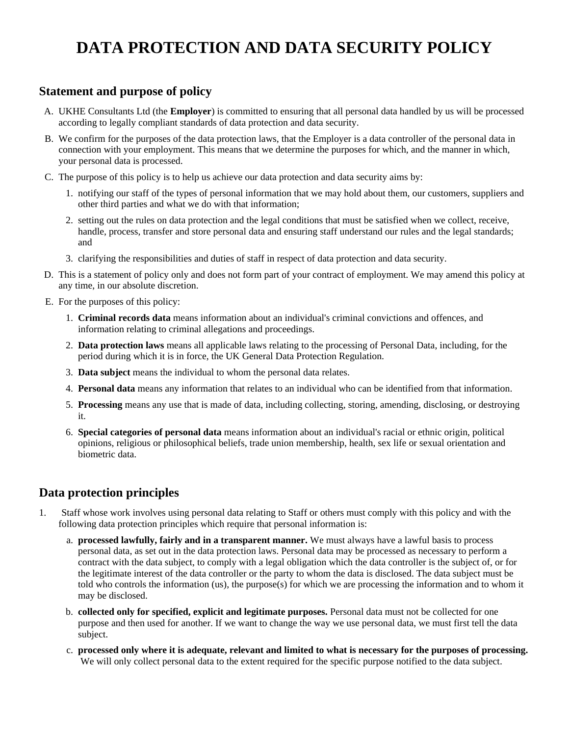# **DATA PROTECTION AND DATA SECURITY POLICY**

## **Statement and purpose of policy**

- A. UKHE Consultants Ltd (the **Employer**) is committed to ensuring that all personal data handled by us will be processed according to legally compliant standards of data protection and data security.
- B. We confirm for the purposes of the data protection laws, that the Employer is a data controller of the personal data in connection with your employment. This means that we determine the purposes for which, and the manner in which, your personal data is processed.
- C. The purpose of this policy is to help us achieve our data protection and data security aims by:
	- 1. notifying our staff of the types of personal information that we may hold about them, our customers, suppliers and other third parties and what we do with that information;
	- 2. setting out the rules on data protection and the legal conditions that must be satisfied when we collect, receive, handle, process, transfer and store personal data and ensuring staff understand our rules and the legal standards; and
	- 3. clarifying the responsibilities and duties of staff in respect of data protection and data security.
- D. This is a statement of policy only and does not form part of your contract of employment. We may amend this policy at any time, in our absolute discretion.
- E. For the purposes of this policy:
	- 1. **Criminal records data** means information about an individual's criminal convictions and offences, and information relating to criminal allegations and proceedings.
	- 2. **Data protection laws** means all applicable laws relating to the processing of Personal Data, including, for the period during which it is in force, the UK General Data Protection Regulation.
	- 3. **Data subject** means the individual to whom the personal data relates.
	- 4. **Personal data** means any information that relates to an individual who can be identified from that information.
	- 5. **Processing** means any use that is made of data, including collecting, storing, amending, disclosing, or destroying it.
	- 6. **Special categories of personal data** means information about an individual's racial or ethnic origin, political opinions, religious or philosophical beliefs, trade union membership, health, sex life or sexual orientation and biometric data.

## **Data protection principles**

- 1. Staff whose work involves using personal data relating to Staff or others must comply with this policy and with the following data protection principles which require that personal information is:
	- a. **processed lawfully, fairly and in a transparent manner.** We must always have a lawful basis to process personal data, as set out in the data protection laws. Personal data may be processed as necessary to perform a contract with the data subject, to comply with a legal obligation which the data controller is the subject of, or for the legitimate interest of the data controller or the party to whom the data is disclosed. The data subject must be told who controls the information (us), the purpose(s) for which we are processing the information and to whom it may be disclosed.
	- b. **collected only for specified, explicit and legitimate purposes.** Personal data must not be collected for one purpose and then used for another. If we want to change the way we use personal data, we must first tell the data subject.
	- c. **processed only where it is adequate, relevant and limited to what is necessary for the purposes of processing.** We will only collect personal data to the extent required for the specific purpose notified to the data subject.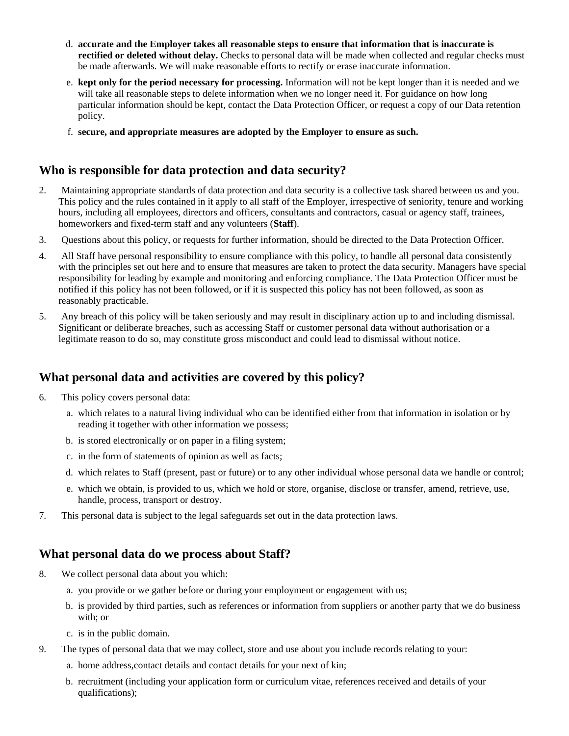- d. **accurate and the Employer takes all reasonable steps to ensure that information that is inaccurate is rectified or deleted without delay.** Checks to personal data will be made when collected and regular checks must be made afterwards. We will make reasonable efforts to rectify or erase inaccurate information.
- e. **kept only for the period necessary for processing.** Information will not be kept longer than it is needed and we will take all reasonable steps to delete information when we no longer need it. For guidance on how long particular information should be kept, contact the Data Protection Officer, or request a copy of our Data retention policy.
- f. **secure, and appropriate measures are adopted by the Employer to ensure as such.**

#### **Who is responsible for data protection and data security?**

- 2. Maintaining appropriate standards of data protection and data security is a collective task shared between us and you. This policy and the rules contained in it apply to all staff of the Employer, irrespective of seniority, tenure and working hours, including all employees, directors and officers, consultants and contractors, casual or agency staff, trainees, homeworkers and fixed-term staff and any volunteers (**Staff**).
- 3. Questions about this policy, or requests for further information, should be directed to the Data Protection Officer.
- 4. All Staff have personal responsibility to ensure compliance with this policy, to handle all personal data consistently with the principles set out here and to ensure that measures are taken to protect the data security. Managers have special responsibility for leading by example and monitoring and enforcing compliance. The Data Protection Officer must be notified if this policy has not been followed, or if it is suspected this policy has not been followed, as soon as reasonably practicable.
- 5. Any breach of this policy will be taken seriously and may result in disciplinary action up to and including dismissal. Significant or deliberate breaches, such as accessing Staff or customer personal data without authorisation or a legitimate reason to do so, may constitute gross misconduct and could lead to dismissal without notice.

### **What personal data and activities are covered by this policy?**

- 6. This policy covers personal data:
	- a. which relates to a natural living individual who can be identified either from that information in isolation or by reading it together with other information we possess;
	- b. is stored electronically or on paper in a filing system;
	- c. in the form of statements of opinion as well as facts;
	- d. which relates to Staff (present, past or future) or to any other individual whose personal data we handle or control;
	- e. which we obtain, is provided to us, which we hold or store, organise, disclose or transfer, amend, retrieve, use, handle, process, transport or destroy.
- 7. This personal data is subject to the legal safeguards set out in the data protection laws.

#### **What personal data do we process about Staff?**

- 8. We collect personal data about you which:
	- a. you provide or we gather before or during your employment or engagement with us;
	- b. is provided by third parties, such as references or information from suppliers or another party that we do business with; or
	- c. is in the public domain.
- 9. The types of personal data that we may collect, store and use about you include records relating to your:
	- a. home address,contact details and contact details for your next of kin;
	- b. recruitment (including your application form or curriculum vitae, references received and details of your qualifications);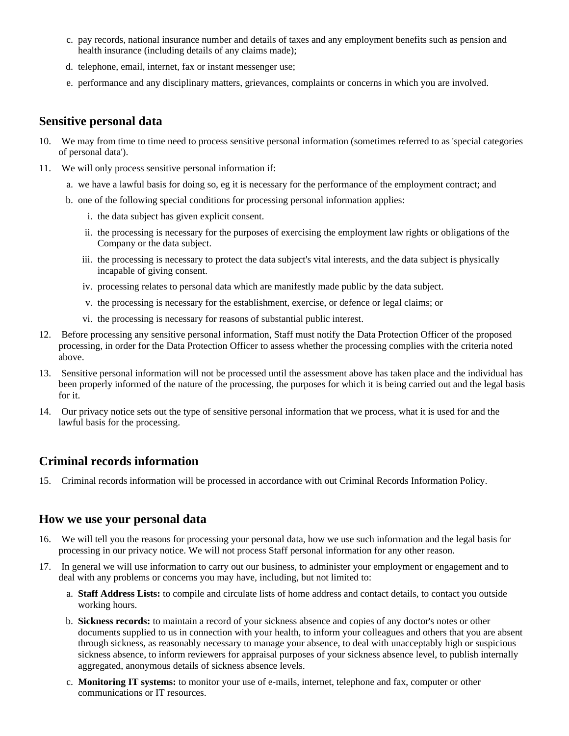- c. pay records, national insurance number and details of taxes and any employment benefits such as pension and health insurance (including details of any claims made);
- d. telephone, email, internet, fax or instant messenger use;
- e. performance and any disciplinary matters, grievances, complaints or concerns in which you are involved.

#### **Sensitive personal data**

- 10. We may from time to time need to process sensitive personal information (sometimes referred to as 'special categories of personal data').
- 11. We will only process sensitive personal information if:
	- a. we have a lawful basis for doing so, eg it is necessary for the performance of the employment contract; and
	- b. one of the following special conditions for processing personal information applies:
		- i. the data subject has given explicit consent.
		- ii. the processing is necessary for the purposes of exercising the employment law rights or obligations of the Company or the data subject.
		- iii. the processing is necessary to protect the data subject's vital interests, and the data subject is physically incapable of giving consent.
		- iv. processing relates to personal data which are manifestly made public by the data subject.
		- v. the processing is necessary for the establishment, exercise, or defence or legal claims; or
		- vi. the processing is necessary for reasons of substantial public interest.
- 12. Before processing any sensitive personal information, Staff must notify the Data Protection Officer of the proposed processing, in order for the Data Protection Officer to assess whether the processing complies with the criteria noted above.
- 13. Sensitive personal information will not be processed until the assessment above has taken place and the individual has been properly informed of the nature of the processing, the purposes for which it is being carried out and the legal basis for it.
- 14. Our privacy notice sets out the type of sensitive personal information that we process, what it is used for and the lawful basis for the processing.

### **Criminal records information**

15. Criminal records information will be processed in accordance with out Criminal Records Information Policy.

#### **How we use your personal data**

- 16. We will tell you the reasons for processing your personal data, how we use such information and the legal basis for processing in our privacy notice. We will not process Staff personal information for any other reason.
- 17. In general we will use information to carry out our business, to administer your employment or engagement and to deal with any problems or concerns you may have, including, but not limited to:
	- a. **Staff Address Lists:** to compile and circulate lists of home address and contact details, to contact you outside working hours.
	- b. **Sickness records:** to maintain a record of your sickness absence and copies of any doctor's notes or other documents supplied to us in connection with your health, to inform your colleagues and others that you are absent through sickness, as reasonably necessary to manage your absence, to deal with unacceptably high or suspicious sickness absence, to inform reviewers for appraisal purposes of your sickness absence level, to publish internally aggregated, anonymous details of sickness absence levels.
	- c. **Monitoring IT systems:** to monitor your use of e-mails, internet, telephone and fax, computer or other communications or IT resources.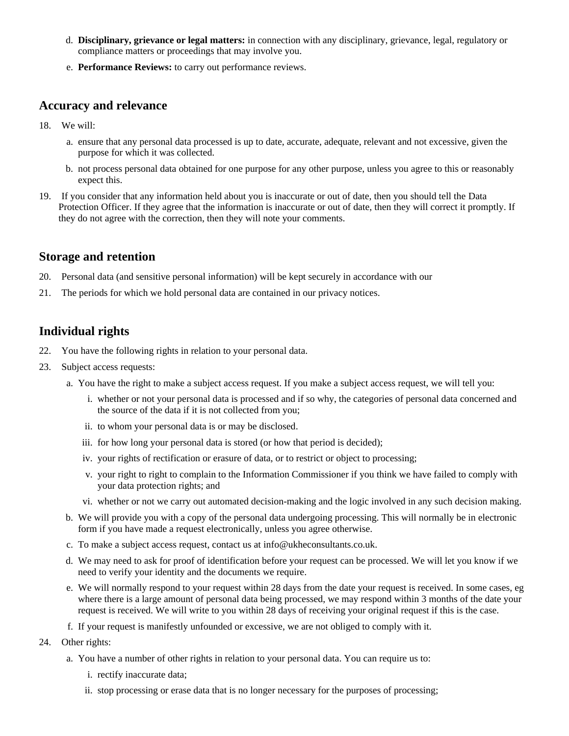- d. **Disciplinary, grievance or legal matters:** in connection with any disciplinary, grievance, legal, regulatory or compliance matters or proceedings that may involve you.
- e. **Performance Reviews:** to carry out performance reviews.

#### **Accuracy and relevance**

- 18. We will:
	- a. ensure that any personal data processed is up to date, accurate, adequate, relevant and not excessive, given the purpose for which it was collected.
	- b. not process personal data obtained for one purpose for any other purpose, unless you agree to this or reasonably expect this.
- 19. If you consider that any information held about you is inaccurate or out of date, then you should tell the Data Protection Officer. If they agree that the information is inaccurate or out of date, then they will correct it promptly. If they do not agree with the correction, then they will note your comments.

#### **Storage and retention**

- 20. Personal data (and sensitive personal information) will be kept securely in accordance with our
- 21. The periods for which we hold personal data are contained in our privacy notices.

## **Individual rights**

- 22. You have the following rights in relation to your personal data.
- 23. Subject access requests:
	- a. You have the right to make a subject access request. If you make a subject access request, we will tell you:
		- i. whether or not your personal data is processed and if so why, the categories of personal data concerned and the source of the data if it is not collected from you;
		- ii. to whom your personal data is or may be disclosed.
		- iii. for how long your personal data is stored (or how that period is decided);
		- iv. your rights of rectification or erasure of data, or to restrict or object to processing;
		- v. your right to right to complain to the Information Commissioner if you think we have failed to comply with your data protection rights; and
		- vi. whether or not we carry out automated decision-making and the logic involved in any such decision making.
	- b. We will provide you with a copy of the personal data undergoing processing. This will normally be in electronic form if you have made a request electronically, unless you agree otherwise.
	- c. To make a subject access request, contact us at info@ukheconsultants.co.uk.
	- d. We may need to ask for proof of identification before your request can be processed. We will let you know if we need to verify your identity and the documents we require.
	- e. We will normally respond to your request within 28 days from the date your request is received. In some cases, eg where there is a large amount of personal data being processed, we may respond within 3 months of the date your request is received. We will write to you within 28 days of receiving your original request if this is the case.
	- f. If your request is manifestly unfounded or excessive, we are not obliged to comply with it.
- 24. Other rights:
	- a. You have a number of other rights in relation to your personal data. You can require us to:
		- i. rectify inaccurate data;
		- ii. stop processing or erase data that is no longer necessary for the purposes of processing;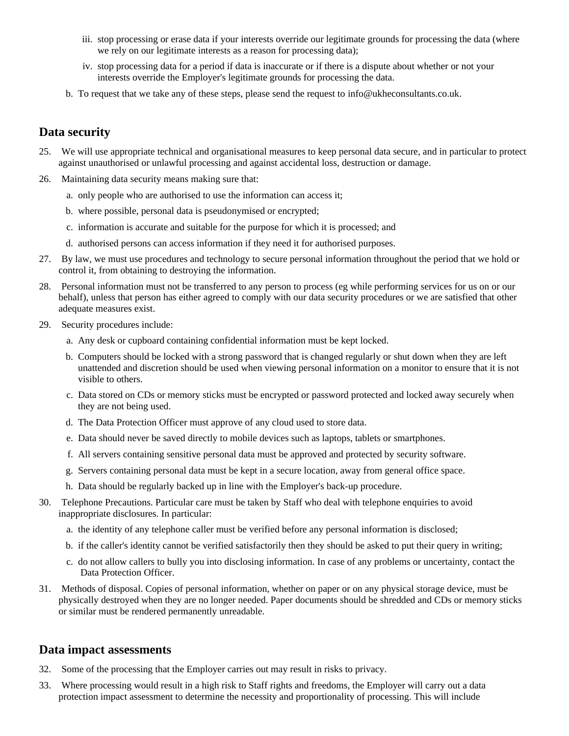- iii. stop processing or erase data if your interests override our legitimate grounds for processing the data (where we rely on our legitimate interests as a reason for processing data);
- iv. stop processing data for a period if data is inaccurate or if there is a dispute about whether or not your interests override the Employer's legitimate grounds for processing the data.
- b. To request that we take any of these steps, please send the request to info@ukheconsultants.co.uk.

## **Data security**

- 25. We will use appropriate technical and organisational measures to keep personal data secure, and in particular to protect against unauthorised or unlawful processing and against accidental loss, destruction or damage.
- 26. Maintaining data security means making sure that:
	- a. only people who are authorised to use the information can access it;
	- b. where possible, personal data is pseudonymised or encrypted;
	- c. information is accurate and suitable for the purpose for which it is processed; and
	- d. authorised persons can access information if they need it for authorised purposes.
- 27. By law, we must use procedures and technology to secure personal information throughout the period that we hold or control it, from obtaining to destroying the information.
- 28. Personal information must not be transferred to any person to process (eg while performing services for us on or our behalf), unless that person has either agreed to comply with our data security procedures or we are satisfied that other adequate measures exist.
- 29. Security procedures include:
	- a. Any desk or cupboard containing confidential information must be kept locked.
	- b. Computers should be locked with a strong password that is changed regularly or shut down when they are left unattended and discretion should be used when viewing personal information on a monitor to ensure that it is not visible to others.
	- c. Data stored on CDs or memory sticks must be encrypted or password protected and locked away securely when they are not being used.
	- d. The Data Protection Officer must approve of any cloud used to store data.
	- e. Data should never be saved directly to mobile devices such as laptops, tablets or smartphones.
	- f. All servers containing sensitive personal data must be approved and protected by security software.
	- g. Servers containing personal data must be kept in a secure location, away from general office space.
	- h. Data should be regularly backed up in line with the Employer's back-up procedure.
- 30. Telephone Precautions. Particular care must be taken by Staff who deal with telephone enquiries to avoid inappropriate disclosures. In particular:
	- a. the identity of any telephone caller must be verified before any personal information is disclosed;
	- b. if the caller's identity cannot be verified satisfactorily then they should be asked to put their query in writing;
	- c. do not allow callers to bully you into disclosing information. In case of any problems or uncertainty, contact the Data Protection Officer.
- 31. Methods of disposal. Copies of personal information, whether on paper or on any physical storage device, must be physically destroyed when they are no longer needed. Paper documents should be shredded and CDs or memory sticks or similar must be rendered permanently unreadable.

#### **Data impact assessments**

- 32. Some of the processing that the Employer carries out may result in risks to privacy.
- 33. Where processing would result in a high risk to Staff rights and freedoms, the Employer will carry out a data protection impact assessment to determine the necessity and proportionality of processing. This will include